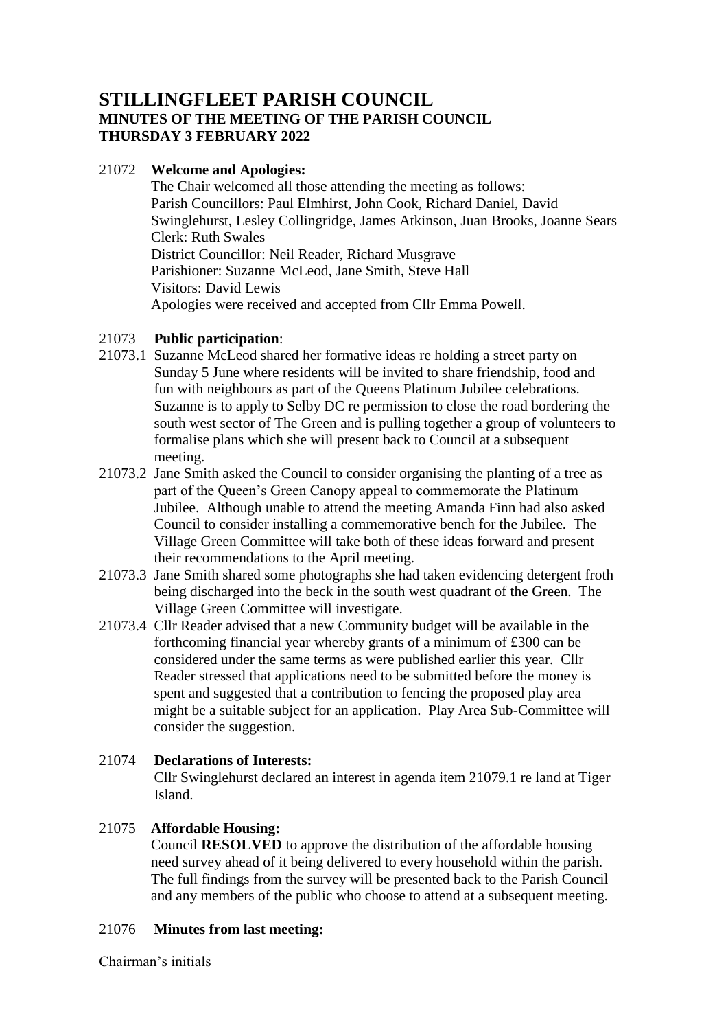# **STILLINGFLEET PARISH COUNCIL MINUTES OF THE MEETING OF THE PARISH COUNCIL THURSDAY 3 FEBRUARY 2022**

# 21072 **Welcome and Apologies:**

The Chair welcomed all those attending the meeting as follows: Parish Councillors: Paul Elmhirst, John Cook, Richard Daniel, David Swinglehurst, Lesley Collingridge, James Atkinson, Juan Brooks, Joanne Sears Clerk: Ruth Swales District Councillor: Neil Reader, Richard Musgrave Parishioner: Suzanne McLeod, Jane Smith, Steve Hall Visitors: David Lewis Apologies were received and accepted from Cllr Emma Powell.

# 21073 **Public participation**:

- 21073.1 Suzanne McLeod shared her formative ideas re holding a street party on Sunday 5 June where residents will be invited to share friendship, food and fun with neighbours as part of the Queens Platinum Jubilee celebrations. Suzanne is to apply to Selby DC re permission to close the road bordering the south west sector of The Green and is pulling together a group of volunteers to formalise plans which she will present back to Council at a subsequent meeting.
- 21073.2 Jane Smith asked the Council to consider organising the planting of a tree as part of the Queen's Green Canopy appeal to commemorate the Platinum Jubilee. Although unable to attend the meeting Amanda Finn had also asked Council to consider installing a commemorative bench for the Jubilee. The Village Green Committee will take both of these ideas forward and present their recommendations to the April meeting.
- 21073.3 Jane Smith shared some photographs she had taken evidencing detergent froth being discharged into the beck in the south west quadrant of the Green. The Village Green Committee will investigate.
- 21073.4 Cllr Reader advised that a new Community budget will be available in the forthcoming financial year whereby grants of a minimum of £300 can be considered under the same terms as were published earlier this year. Cllr Reader stressed that applications need to be submitted before the money is spent and suggested that a contribution to fencing the proposed play area might be a suitable subject for an application. Play Area Sub-Committee will consider the suggestion.

# 21074 **Declarations of Interests:**

Cllr Swinglehurst declared an interest in agenda item 21079.1 re land at Tiger Island.

### 21075 **Affordable Housing:**

Council **RESOLVED** to approve the distribution of the affordable housing need survey ahead of it being delivered to every household within the parish. The full findings from the survey will be presented back to the Parish Council and any members of the public who choose to attend at a subsequent meeting.

### 21076 **Minutes from last meeting:**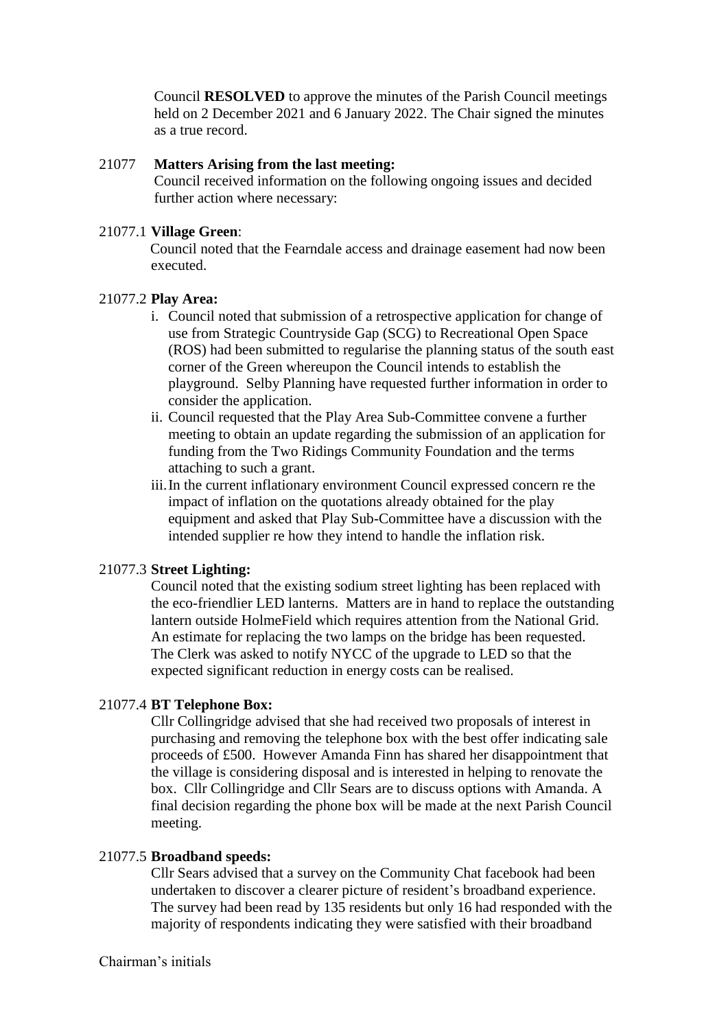Council **RESOLVED** to approve the minutes of the Parish Council meetings held on 2 December 2021 and 6 January 2022. The Chair signed the minutes as a true record.

#### 21077 **Matters Arising from the last meeting:**

Council received information on the following ongoing issues and decided further action where necessary:

#### 21077.1 **Village Green**:

 Council noted that the Fearndale access and drainage easement had now been executed.

#### 21077.2 **Play Area:**

- i. Council noted that submission of a retrospective application for change of use from Strategic Countryside Gap (SCG) to Recreational Open Space (ROS) had been submitted to regularise the planning status of the south east corner of the Green whereupon the Council intends to establish the playground. Selby Planning have requested further information in order to consider the application.
- ii. Council requested that the Play Area Sub-Committee convene a further meeting to obtain an update regarding the submission of an application for funding from the Two Ridings Community Foundation and the terms attaching to such a grant.
- iii.In the current inflationary environment Council expressed concern re the impact of inflation on the quotations already obtained for the play equipment and asked that Play Sub-Committee have a discussion with the intended supplier re how they intend to handle the inflation risk.

#### 21077.3 **Street Lighting:**

Council noted that the existing sodium street lighting has been replaced with the eco-friendlier LED lanterns. Matters are in hand to replace the outstanding lantern outside HolmeField which requires attention from the National Grid. An estimate for replacing the two lamps on the bridge has been requested. The Clerk was asked to notify NYCC of the upgrade to LED so that the expected significant reduction in energy costs can be realised.

#### 21077.4 **BT Telephone Box:**

Cllr Collingridge advised that she had received two proposals of interest in purchasing and removing the telephone box with the best offer indicating sale proceeds of £500. However Amanda Finn has shared her disappointment that the village is considering disposal and is interested in helping to renovate the box. Cllr Collingridge and Cllr Sears are to discuss options with Amanda. A final decision regarding the phone box will be made at the next Parish Council meeting.

#### 21077.5 **Broadband speeds:**

Cllr Sears advised that a survey on the Community Chat facebook had been undertaken to discover a clearer picture of resident's broadband experience. The survey had been read by 135 residents but only 16 had responded with the majority of respondents indicating they were satisfied with their broadband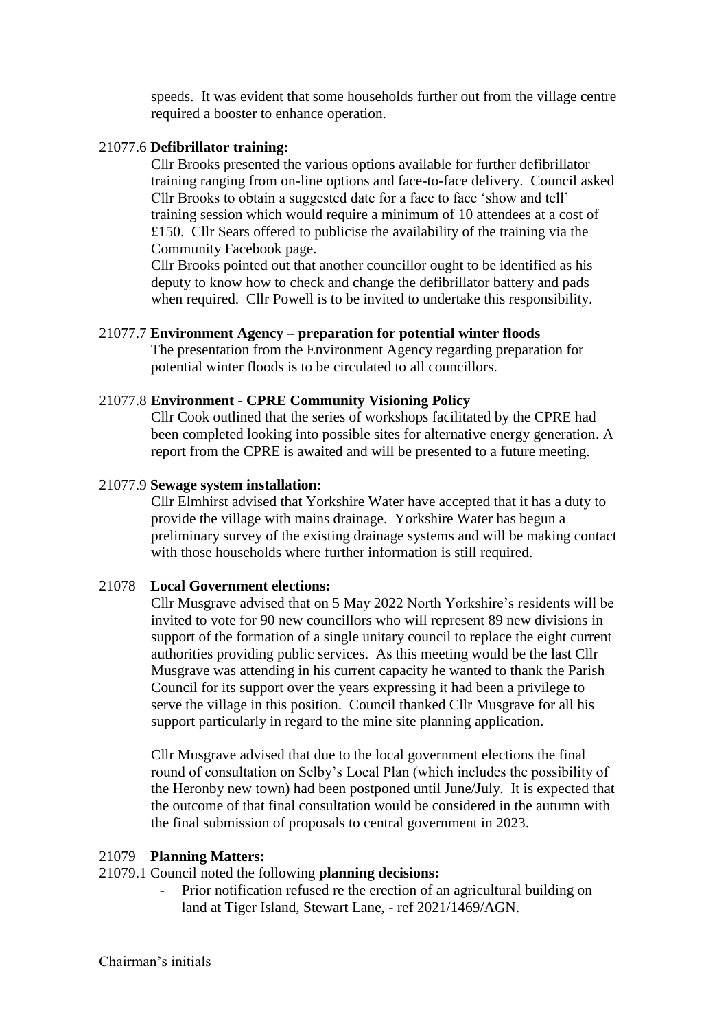speeds. It was evident that some households further out from the village centre required a booster to enhance operation.

# 21077.6 **Defibrillator training:**

Cllr Brooks presented the various options available for further defibrillator training ranging from on-line options and face-to-face delivery. Council asked Cllr Brooks to obtain a suggested date for a face to face 'show and tell' training session which would require a minimum of 10 attendees at a cost of £150. Cllr Sears offered to publicise the availability of the training via the Community Facebook page.

Cllr Brooks pointed out that another councillor ought to be identified as his deputy to know how to check and change the defibrillator battery and pads when required. Cllr Powell is to be invited to undertake this responsibility.

# 21077.7 **Environment Agency – preparation for potential winter floods**

The presentation from the Environment Agency regarding preparation for potential winter floods is to be circulated to all councillors.

# 21077.8 **Environment - CPRE Community Visioning Policy**

Cllr Cook outlined that the series of workshops facilitated by the CPRE had been completed looking into possible sites for alternative energy generation. A report from the CPRE is awaited and will be presented to a future meeting.

# 21077.9 **Sewage system installation:**

Cllr Elmhirst advised that Yorkshire Water have accepted that it has a duty to provide the village with mains drainage. Yorkshire Water has begun a preliminary survey of the existing drainage systems and will be making contact with those households where further information is still required.

# 21078 **Local Government elections:**

Cllr Musgrave advised that on 5 May 2022 North Yorkshire's residents will be invited to vote for 90 new councillors who will represent 89 new divisions in support of the formation of a single unitary council to replace the eight current authorities providing public services. As this meeting would be the last Cllr Musgrave was attending in his current capacity he wanted to thank the Parish Council for its support over the years expressing it had been a privilege to serve the village in this position. Council thanked Cllr Musgrave for all his support particularly in regard to the mine site planning application.

Cllr Musgrave advised that due to the local government elections the final round of consultation on Selby's Local Plan (which includes the possibility of the Heronby new town) had been postponed until June/July. It is expected that the outcome of that final consultation would be considered in the autumn with the final submission of proposals to central government in 2023.

### 21079 **Planning Matters:**

### 21079.1 Council noted the following **planning decisions:**

- Prior notification refused re the erection of an agricultural building on land at Tiger Island, Stewart Lane, - ref 2021/1469/AGN.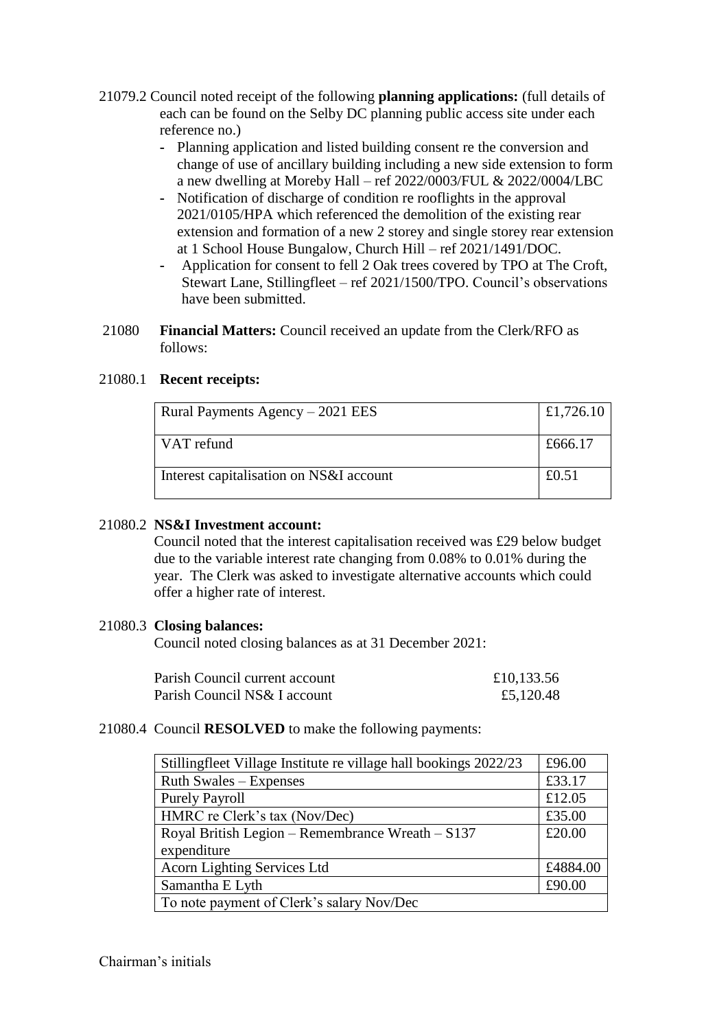- 21079.2 Council noted receipt of the following **planning applications:** (full details of each can be found on the Selby DC planning public access site under each reference no.)
	- **-** Planning application and listed building consent re the conversion and change of use of ancillary building including a new side extension to form a new dwelling at Moreby Hall – ref 2022/0003/FUL & 2022/0004/LBC
	- **-** Notification of discharge of condition re rooflights in the approval 2021/0105/HPA which referenced the demolition of the existing rear extension and formation of a new 2 storey and single storey rear extension at 1 School House Bungalow, Church Hill – ref 2021/1491/DOC.
	- **-** Application for consent to fell 2 Oak trees covered by TPO at The Croft, Stewart Lane, Stillingfleet – ref 2021/1500/TPO. Council's observations have been submitted.
- 21080 **Financial Matters:** Council received an update from the Clerk/RFO as follows:

# 21080.1 **Recent receipts:**

| Rural Payments Agency $-2021$ EES       | £1,726.10 |
|-----------------------------------------|-----------|
| VAT refund                              | £666.17   |
| Interest capitalisation on NS&I account | £0.51     |

### 21080.2 **NS&I Investment account:**

Council noted that the interest capitalisation received was £29 below budget due to the variable interest rate changing from 0.08% to 0.01% during the year. The Clerk was asked to investigate alternative accounts which could offer a higher rate of interest.

### 21080.3 **Closing balances:**

Council noted closing balances as at 31 December 2021:

| Parish Council current account | £10,133.56 |
|--------------------------------|------------|
| Parish Council NS& I account   | £5,120.48  |

### 21080.4 Council **RESOLVED** to make the following payments:

| Stillingfleet Village Institute re village hall bookings 2022/23 | £96.00   |
|------------------------------------------------------------------|----------|
| Ruth Swales – Expenses                                           | £33.17   |
| <b>Purely Payroll</b>                                            | £12.05   |
| HMRC re Clerk's tax (Nov/Dec)                                    | £35.00   |
| Royal British Legion – Remembrance Wreath – $S137$               | £20.00   |
| expenditure                                                      |          |
| Acorn Lighting Services Ltd                                      | £4884.00 |
| Samantha E Lyth                                                  | £90.00   |
| To note payment of Clerk's salary Nov/Dec                        |          |

Chairman's initials